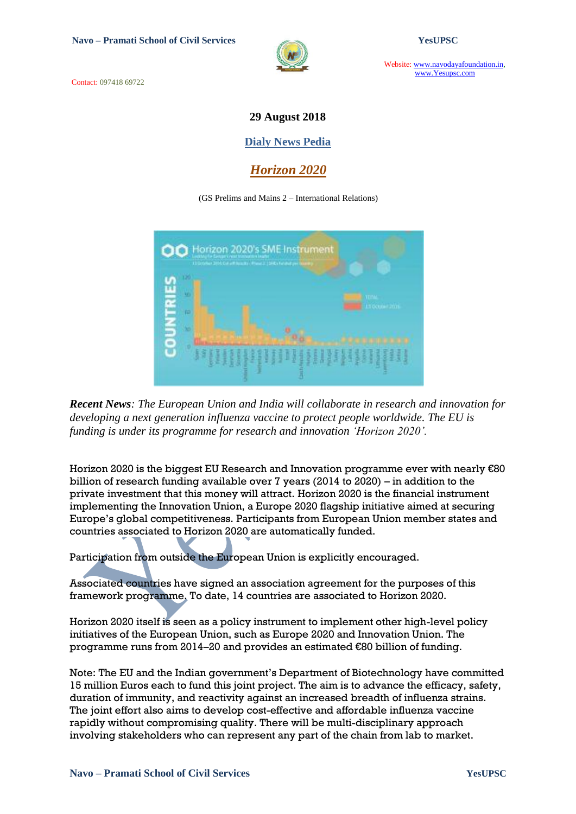Contact: 097418 69722



Website: www.navodayafoundation.in, www.Yesupsc.com

### **29 August 2018**

#### **Dialy News Pedia**

*Horizon 2020*

#### (GS Prelims and Mains 2 – International Relations)



*Recent News: The European Union and India will collaborate in research and innovation for developing a next generation influenza vaccine to protect people worldwide. The EU is funding is under its programme for research and innovation 'Horizon 2020'.*

Horizon 2020 is the biggest EU Research and Innovation programme ever with nearly €80 billion of research funding available over 7 years (2014 to 2020) – in addition to the private investment that this money will attract. Horizon 2020 is the financial instrument implementing the Innovation Union, a Europe 2020 flagship initiative aimed at securing Europe"s global competitiveness. Participants from European Union member states and countries associated to Horizon 2020 are automatically funded.

Participation from outside the European Union is explicitly encouraged.

Associated countries have signed an association agreement for the purposes of this framework programme. To date, 14 countries are associated to Horizon 2020.

Horizon 2020 itself is seen as a policy instrument to implement other high-level policy initiatives of the European Union, such as Europe 2020 and Innovation Union. The programme runs from 2014–20 and provides an estimated €80 billion of funding.

Note: The EU and the Indian government"s Department of Biotechnology have committed 15 million Euros each to fund this joint project. The aim is to advance the efficacy, safety, duration of immunity, and reactivity against an increased breadth of influenza strains. The joint effort also aims to develop cost-effective and affordable influenza vaccine rapidly without compromising quality. There will be multi-disciplinary approach involving stakeholders who can represent any part of the chain from lab to market.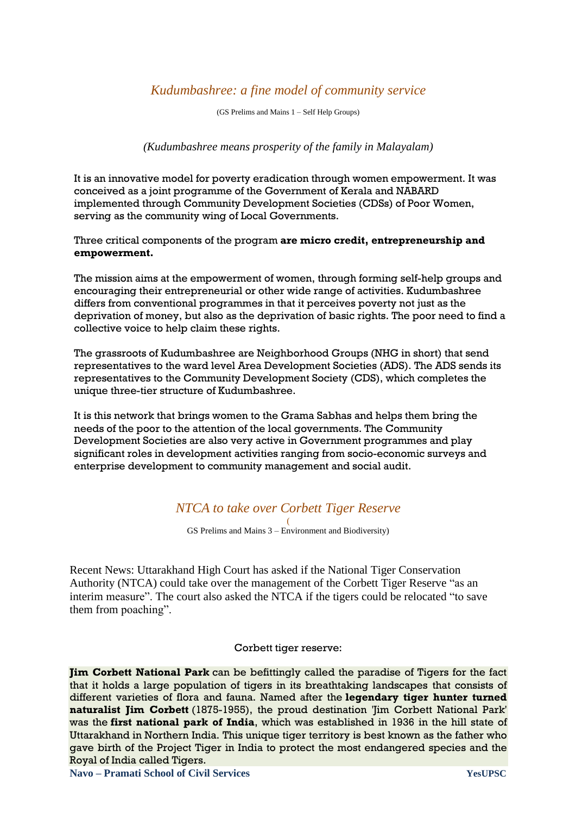## *Kudumbashree: a fine model of community service*

(GS Prelims and Mains 1 – Self Help Groups)

*(Kudumbashree means prosperity of the family in Malayalam)*

It is an innovative model for poverty eradication through women empowerment. It was conceived as a joint programme of the Government of Kerala and NABARD implemented through Community Development Societies (CDSs) of Poor Women, serving as the community wing of Local Governments.

Three critical components of the program **are micro credit, entrepreneurship and empowerment.**

The mission aims at the empowerment of women, through forming self-help groups and encouraging their entrepreneurial or other wide range of activities. Kudumbashree differs from conventional programmes in that it perceives poverty not just as the deprivation of money, but also as the deprivation of basic rights. The poor need to find a collective voice to help claim these rights.

The grassroots of Kudumbashree are Neighborhood Groups (NHG in short) that send representatives to the ward level Area Development Societies (ADS). The ADS sends its representatives to the Community Development Society (CDS), which completes the unique three-tier structure of Kudumbashree.

It is this network that brings women to the Grama Sabhas and helps them bring the needs of the poor to the attention of the local governments. The Community Development Societies are also very active in Government programmes and play significant roles in development activities ranging from socio-economic surveys and enterprise development to community management and social audit.

# *NTCA to take over Corbett Tiger Reserve*

( GS Prelims and Mains 3 – Environment and Biodiversity)

Recent News: Uttarakhand High Court has asked if the National Tiger Conservation Authority (NTCA) could take over the management of the Corbett Tiger Reserve "as an interim measure". The court also asked the NTCA if the tigers could be relocated "to save them from poaching".

#### Corbett tiger reserve:

**Jim Corbett National Park** can be befittingly called the paradise of Tigers for the fact that it holds a large population of tigers in its breathtaking landscapes that consists of different varieties of flora and fauna. Named after the **legendary tiger hunter turned naturalist Jim Corbett** (1875-1955), the proud destination 'Jim Corbett National Park' was the **first national park of India**, which was established in 1936 in the hill state of Uttarakhand in Northern India. This unique tiger territory is best known as the father who gave birth of the Project Tiger in India to protect the most endangered species and the Royal of India called Tigers.

**Navo – Pramati School of Civil Services YesUPSC**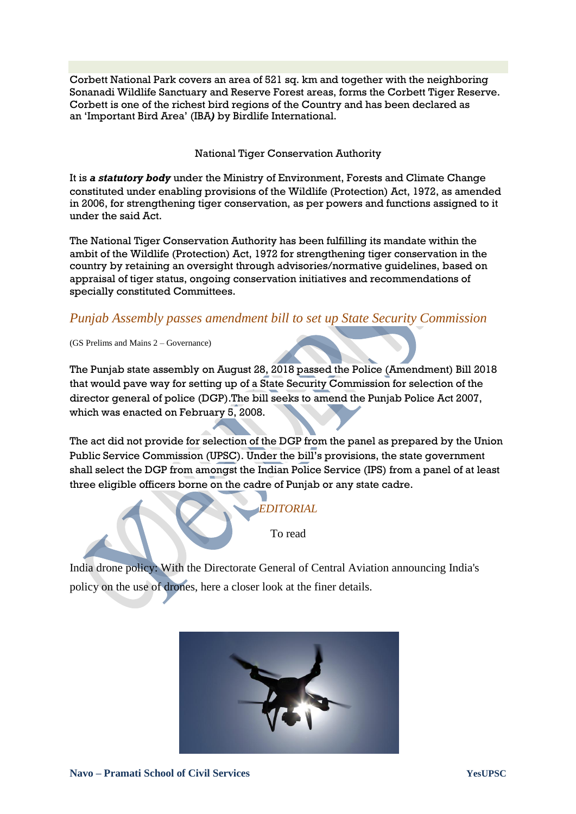Corbett National Park covers an area of 521 sq. km and together with the neighboring Sonanadi Wildlife Sanctuary and Reserve Forest areas, forms the Corbett Tiger Reserve. Corbett is one of the richest bird regions of the Country and has been declared as an "Important Bird Area" (IBA*)* by Birdlife International.

National Tiger Conservation Authority

It is *a statutory body* under the Ministry of Environment, Forests and Climate Change constituted under enabling provisions of the Wildlife (Protection) Act, 1972, as amended in 2006, for strengthening tiger conservation, as per powers and functions assigned to it under the said Act.

The National Tiger Conservation Authority has been fulfilling its mandate within the ambit of the Wildlife (Protection) Act, 1972 for strengthening tiger conservation in the country by retaining an oversight through advisories/normative guidelines, based on appraisal of tiger status, ongoing conservation initiatives and recommendations of specially constituted Committees.

## *[Punjab Assembly passes amendment bill to set up State Security Commission](https://www.jagranjosh.com/current-affairs/punjab-assembly-passes-amendment-bill-to-set-up-state-security-commission-1535531229-1)*

(GS Prelims and Mains 2 – Governance)

The Punjab state assembly on August 28, 2018 passed the Police (Amendment) Bill 2018 that would pave way for setting up of a State Security Commission for selection of the director general of police (DGP).The bill seeks to amend the Punjab Police Act 2007, which was enacted on February 5, 2008.

The act did not provide for selection of the DGP from the panel as prepared by the Union Public Service Commission (UPSC). Under the bill"s provisions, the state government shall select the DGP from amongst the Indian Police Service (IPS) from a panel of at least three eligible officers borne on the cadre of Punjab or any state cadre.

To read

*EDITORIAL*

India drone policy: With the Directorate General of Central Aviation announcing India's policy on the use of drones, here a closer look at the finer details.

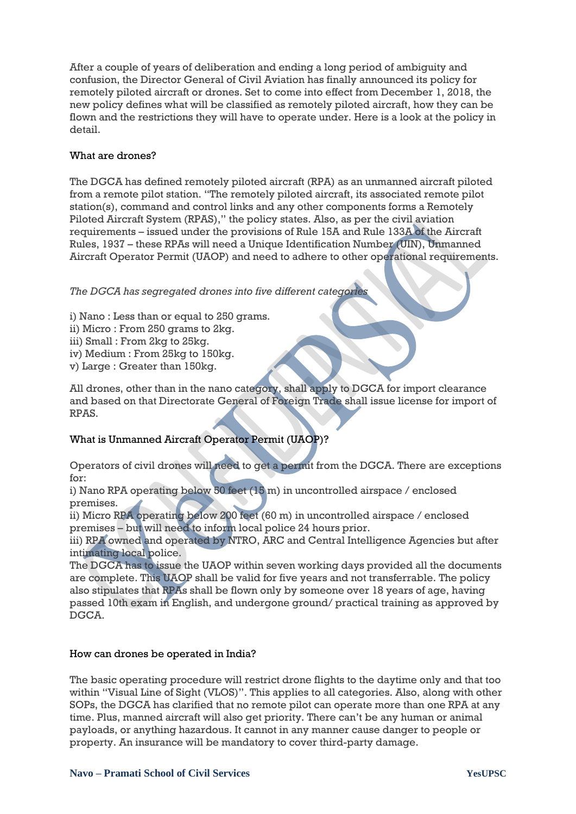After a couple of years of deliberation and ending a long period of ambiguity and confusion, the Director General of Civil Aviation has finally announced its policy for remotely piloted aircraft or drones. Set to come into effect from December 1, 2018, the new policy defines what will be classified as remotely piloted aircraft, how they can be flown and the restrictions they will have to operate under. Here is a look at the policy in detail.

#### What are drones?

The DGCA has defined remotely piloted aircraft (RPA) as an unmanned aircraft piloted from a remote pilot station. "The remotely piloted aircraft, its associated remote pilot station(s), command and control links and any other components forms a Remotely Piloted Aircraft System (RPAS)," the policy states. Also, as per the civil aviation requirements – issued under the provisions of Rule 15A and Rule 133A of the Aircraft Rules, 1937 – these RPAs will need a Unique Identification Number (UIN), Unmanned Aircraft Operator Permit (UAOP) and need to adhere to other operational requirements.

#### *The DGCA has segregated drones into five different categories*

- i) Nano : Less than or equal to 250 grams.
- ii) Micro : From 250 grams to 2kg.
- iii) Small : From 2kg to 25kg.
- iv) Medium : From 25kg to 150kg.
- v) Large : Greater than 150kg.

All drones, other than in the nano category, shall apply to DGCA for import clearance and based on that Directorate General of Foreign Trade shall issue license for import of RPAS.

### What is Unmanned Aircraft Operator Permit (UAOP)?

Operators of civil drones will need to get a permit from the DGCA. There are exceptions for:

i) Nano RPA operating below 50 feet (15 m) in uncontrolled airspace / enclosed premises.

ii) Micro RPA operating below 200 feet (60 m) in uncontrolled airspace / enclosed premises – but will need to inform local police 24 hours prior.

iii) RPA owned and operated by NTRO, ARC and Central Intelligence Agencies but after intimating local police.

The DGCA has to issue the UAOP within seven working days provided all the documents are complete. This UAOP shall be valid for five years and not transferrable. The policy also stipulates that RPAs shall be flown only by someone over 18 years of age, having passed 10th exam in English, and undergone ground/ practical training as approved by DGCA.

#### How can drones be operated in India?

The basic operating procedure will restrict drone flights to the daytime only and that too within "Visual Line of Sight (VLOS)". This applies to all categories. Also, along with other SOPs, the DGCA has clarified that no remote pilot can operate more than one RPA at any time. Plus, manned aircraft will also get priority. There can"t be any human or animal payloads, or anything hazardous. It cannot in any manner cause danger to people or property. An insurance will be mandatory to cover third-party damage.